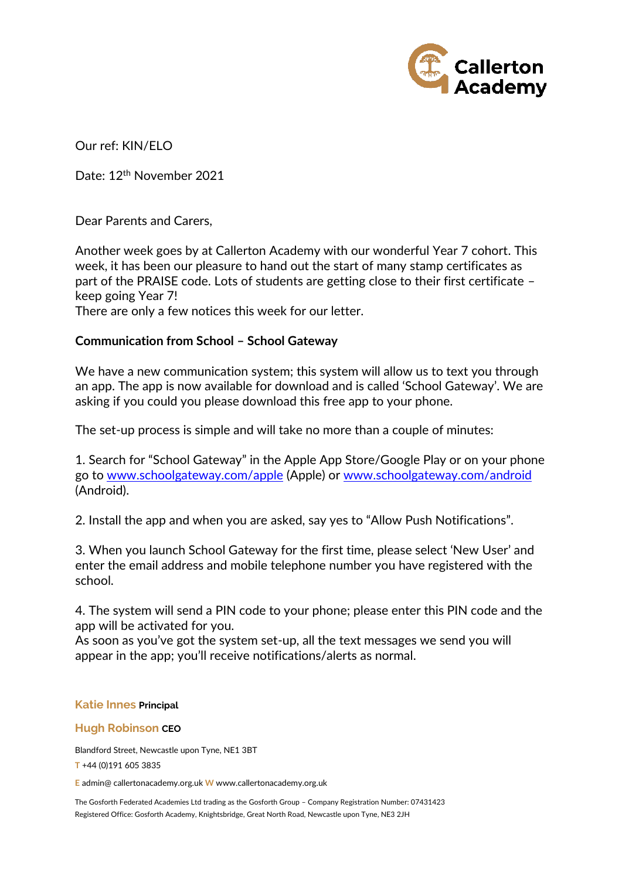

Our ref: KIN/ELO

Date: 12th November 2021

Dear Parents and Carers,

Another week goes by at Callerton Academy with our wonderful Year 7 cohort. This week, it has been our pleasure to hand out the start of many stamp certificates as part of the PRAISE code. Lots of students are getting close to their first certificate – keep going Year 7! There are only a few notices this week for our letter.

# **Communication from School – School Gateway**

We have a new communication system; this system will allow us to text you through an app. The app is now available for download and is called 'School Gateway'. We are asking if you could you please download this free app to your phone.

The set-up process is simple and will take no more than a couple of minutes:

1. Search for "School Gateway" in the Apple App Store/Google Play or on your phone go to [www.schoolgateway.com/apple](http://www.schoolgateway.com/apple) (Apple) or [www.schoolgateway.com/android](http://www.schoolgateway.com/android)  (Android).

2. Install the app and when you are asked, say yes to "Allow Push Notifications".

3. When you launch School Gateway for the first time, please select 'New User' and enter the email address and mobile telephone number you have registered with the school.

4. The system will send a PIN code to your phone; please enter this PIN code and the app will be activated for you.

As soon as you've got the system set-up, all the text messages we send you will appear in the app; you'll receive notifications/alerts as normal.

### **Katie Innes Principal**

### **Hugh Robinson CEO**

Blandford Street, Newcastle upon Tyne, NE1 3BT

**T** +44 (0)191 605 3835

**E** admin@ callertonacademy.org.uk **W** www.callertonacademy.org.uk

The Gosforth Federated Academies Ltd trading as the Gosforth Group – Company Registration Number: 07431423 Registered Office: Gosforth Academy, Knightsbridge, Great North Road, Newcastle upon Tyne, NE3 2JH